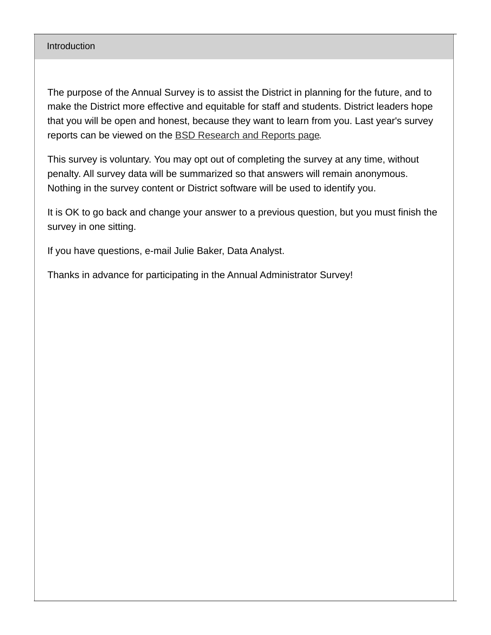#### **Introduction**

The purpose of the Annual Survey is to assist the District in planning for the future, and to make the District more effective and equitable for staff and students. District leaders hope that you will be open and honest, because they want to learn from you. Last year's survey reports can be viewed on the BSD [Research](https://www.beaverton.k12.or.us/district/research-reports) and Reports page.

This survey is voluntary. You may opt out of completing the survey at any time, without penalty. All survey data will be summarized so that answers will remain anonymous. Nothing in the survey content or District software will be used to identify you.

It is OK to go back and change your answer to a previous question, but you must finish the survey in one sitting.

If you have questions, e-mail Julie Baker, Data Analyst.

Thanks in advance for participating in the Annual Administrator Survey!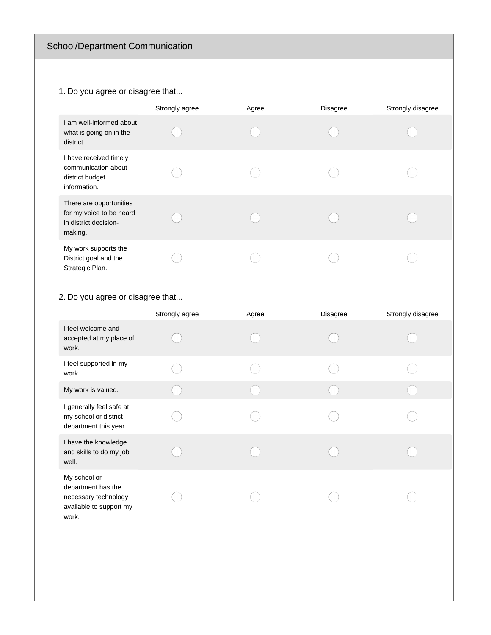# School/Department Communication

### 1. Do you agree or disagree that...

|                                                                                         | Strongly agree | Agree | <b>Disagree</b> | Strongly disagree |
|-----------------------------------------------------------------------------------------|----------------|-------|-----------------|-------------------|
| I am well-informed about<br>what is going on in the<br>district.                        |                |       |                 |                   |
| I have received timely<br>communication about<br>district budget<br>information.        |                |       |                 |                   |
| There are opportunities<br>for my voice to be heard<br>in district decision-<br>making. |                |       |                 |                   |
| My work supports the<br>District goal and the<br>Strategic Plan.                        |                |       |                 |                   |

## 2. Do you agree or disagree that...

|                                                                                                | Strongly agree | Agree | <b>Disagree</b> | Strongly disagree |
|------------------------------------------------------------------------------------------------|----------------|-------|-----------------|-------------------|
| I feel welcome and<br>accepted at my place of<br>work.                                         |                |       |                 |                   |
| I feel supported in my<br>work.                                                                |                |       |                 |                   |
| My work is valued.                                                                             |                |       |                 |                   |
| I generally feel safe at<br>my school or district<br>department this year.                     |                |       |                 |                   |
| I have the knowledge<br>and skills to do my job<br>well.                                       |                |       |                 |                   |
| My school or<br>department has the<br>necessary technology<br>available to support my<br>work. |                |       |                 |                   |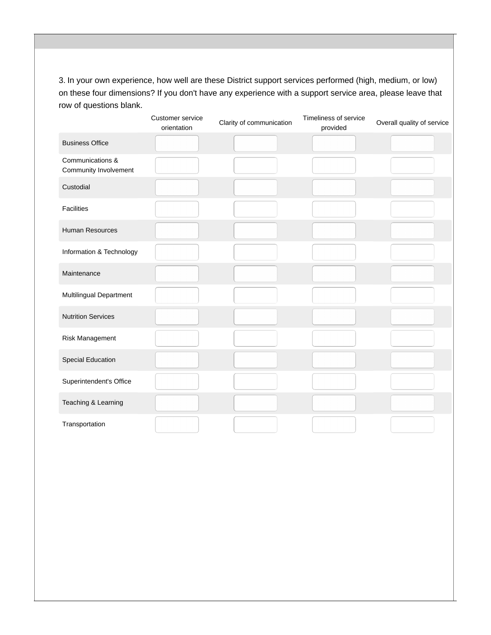3. In your own experience, how well are these District support services performed (high, medium, or low) on these four dimensions? If you don't have any experience with a support service area, please leave that row of questions blank.

|                                           | Customer service<br>orientation | Clarity of communication | Timeliness of service<br>provided | Overall quality of service |
|-------------------------------------------|---------------------------------|--------------------------|-----------------------------------|----------------------------|
| <b>Business Office</b>                    |                                 |                          |                                   |                            |
| Communications &<br>Community Involvement |                                 |                          |                                   |                            |
| Custodial                                 |                                 |                          |                                   |                            |
| <b>Facilities</b>                         |                                 |                          |                                   |                            |
| Human Resources                           |                                 |                          |                                   |                            |
| Information & Technology                  |                                 |                          |                                   |                            |
| Maintenance                               |                                 |                          |                                   |                            |
| Multilingual Department                   |                                 |                          |                                   |                            |
| <b>Nutrition Services</b>                 |                                 |                          |                                   |                            |
| Risk Management                           |                                 |                          |                                   |                            |
| <b>Special Education</b>                  |                                 |                          |                                   |                            |
| Superintendent's Office                   |                                 |                          |                                   |                            |
| Teaching & Learning                       |                                 |                          |                                   |                            |
| Transportation                            |                                 |                          |                                   |                            |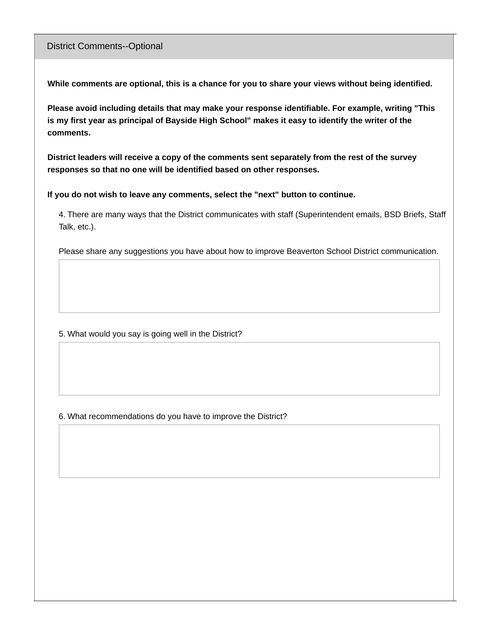#### District Comments--Optional

**While comments are optional, this is a chance for you to share your views without being identified.**

**Please avoid including details that may make your response identifiable. For example, writing "This** is my first year as principal of Bayside High School" makes it easy to identify the writer of the **comments.**

**District leaders will receive a copy of the comments sent separately from the rest of the survey responses so that no one will be identified based on other responses.**

**If you do not wish to leave any comments, select the "next" button to continue.**

4. There are many ways that the District communicates with staff (Superintendent emails, BSD Briefs, Staff Talk, etc.).

Please share any suggestions you have about how to improve Beaverton School District communication.

5. What would you say is going well in the District?

6. What recommendations do you have to improve the District?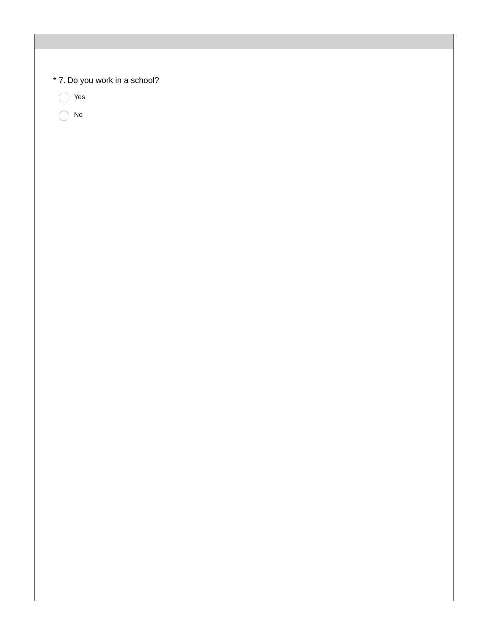| * 7. Do you work in a school? |  |  |
|-------------------------------|--|--|
| Yes                           |  |  |
| ${\sf No}$                    |  |  |
|                               |  |  |
|                               |  |  |
|                               |  |  |
|                               |  |  |
|                               |  |  |
|                               |  |  |
|                               |  |  |
|                               |  |  |
|                               |  |  |
|                               |  |  |
|                               |  |  |
|                               |  |  |
|                               |  |  |
|                               |  |  |
|                               |  |  |
|                               |  |  |
|                               |  |  |
|                               |  |  |
|                               |  |  |
|                               |  |  |
|                               |  |  |
|                               |  |  |
|                               |  |  |
|                               |  |  |
|                               |  |  |
|                               |  |  |
|                               |  |  |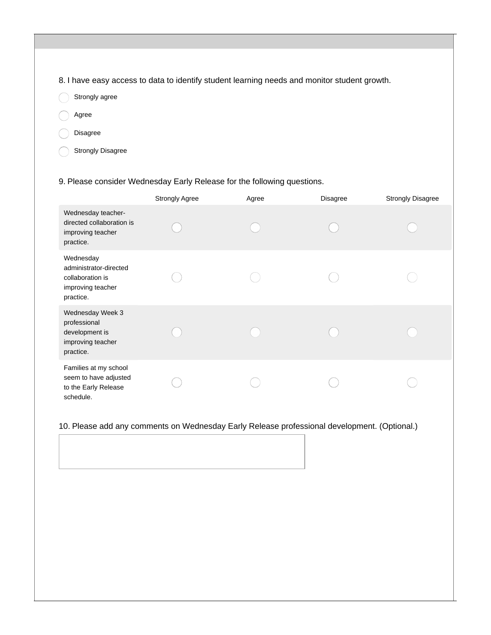8. I have easy access to data to identify student learning needs and monitor student growth.

- Strongly agree  $\subset$
- Agree
- Disagree
	- Strongly Disagree

9. Please consider Wednesday Early Release for the following questions.

|                                                                                           | <b>Strongly Agree</b> | Agree | <b>Disagree</b> | <b>Strongly Disagree</b> |
|-------------------------------------------------------------------------------------------|-----------------------|-------|-----------------|--------------------------|
| Wednesday teacher-<br>directed collaboration is<br>improving teacher<br>practice.         |                       |       |                 |                          |
| Wednesday<br>administrator-directed<br>collaboration is<br>improving teacher<br>practice. |                       |       |                 |                          |
| Wednesday Week 3<br>professional<br>development is<br>improving teacher<br>practice.      |                       |       |                 |                          |
| Families at my school<br>seem to have adjusted<br>to the Early Release<br>schedule.       |                       |       |                 |                          |

#### 10. Please add any comments on Wednesday Early Release professional development. (Optional.)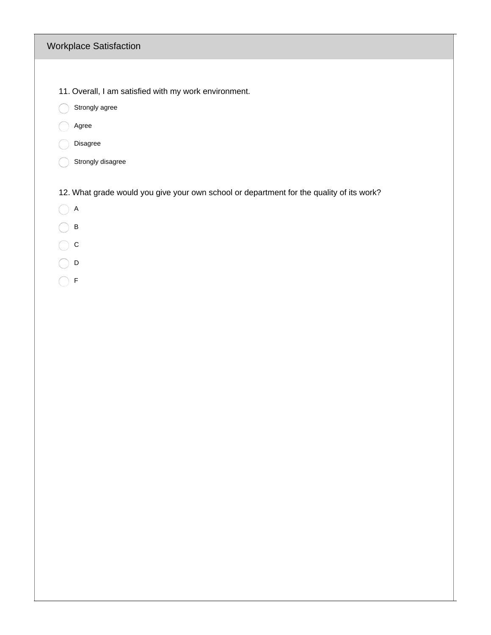### Workplace Satisfaction

- 11. Overall, I am satisfied with my work environment.
- Strongly agree
- agree
- Disagree
- Strongly disagree

12. What grade would you give your own school or department for the quality of its work?

- $\bigcirc$  A
- $\bigcirc$  B
- $\bigcirc$  c
- $\bigcirc$  D
- $\bigcirc$  F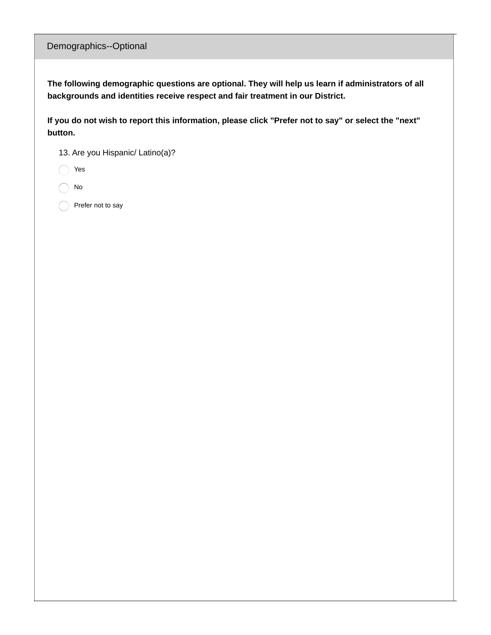### Demographics--Optional

**The following demographic questions are optional. They will help us learn if administrators of all backgrounds and identities receive respect and fair treatment in our District.**

If you do not wish to report this information, please click "Prefer not to say" or select the "next" **button.**

13. Are you Hispanic/ Latino(a)?

Yes

No

Prefer not to say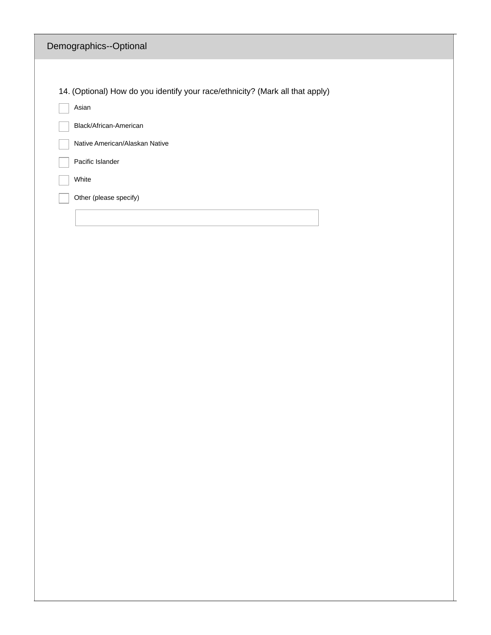| Demographics--Optional                                                        |
|-------------------------------------------------------------------------------|
|                                                                               |
| 14. (Optional) How do you identify your race/ethnicity? (Mark all that apply) |
| Asian                                                                         |
| Black/African-American                                                        |
| Native American/Alaskan Native                                                |
| Pacific Islander                                                              |
| White                                                                         |
| Other (please specify)                                                        |
|                                                                               |
|                                                                               |
|                                                                               |
|                                                                               |
|                                                                               |
|                                                                               |
|                                                                               |
|                                                                               |
|                                                                               |
|                                                                               |
|                                                                               |
|                                                                               |
|                                                                               |
|                                                                               |
|                                                                               |
|                                                                               |
|                                                                               |
|                                                                               |
|                                                                               |
|                                                                               |
|                                                                               |